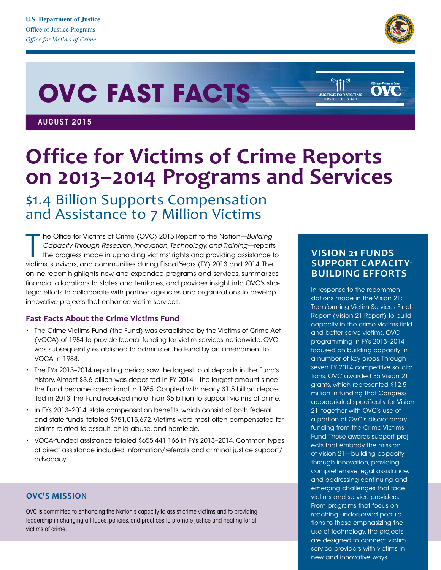

Office for Victims of

# **OVC FAST FACTS**

AUGUST 2015

## **Office for Victims of Crime Reports on 2013–2014 Programs and Services**

### \$1.4 Billion Supports Compensation and Assistance to 7 Million Victims

The Office for Victims of Crime (OVC) 2015 Report to the Nation—Building<br>Capacity Through Research, Innovation, Technology, and Training—reports<br>the progress made in upholding victims' rights and providing assistance t<br>vic he Office for Victims of Crime (OVC) 2015 Report to the Nation—*Building Capacity Through Research, Innovation, Technology, and Training*—reports the progress made in upholding victims' rights and providing assistance to online report highlights new and expanded programs and services, summarizes financial allocations to states and territories, and provides insight into OVC's strategic efforts to collaborate with partner agencies and organizations to develop innovative projects that enhance victim services.

#### **Fast Facts About the Crime Victims Fund**

- • The Crime Victims Fund (the Fund) was established by the Victims of Crime Act (VOCA) of 1984 to provide federal funding for victim services nationwide. OVC was subsequently established to administer the Fund by an amendment to VOCA in 1988.
- The FYs 2013-2014 reporting period saw the largest total deposits in the Fund's history. Almost \$3.6 billion was deposited in FY 2014—the largest amount since the Fund became operational in 1985. Coupled with nearly \$1.5 billion deposited in 2013, the Fund received more than \$5 billion to support victims of crime.
- In FYs 2013-2014, state compensation benefits, which consist of both federal and state funds, totaled \$751,015,672.Victims were most often compensated for claims related to assault, child abuse, and homicide.
- • VOCA-funded assistance totaled \$655,441,166 in FYs 2013–2014. Common types of direct assistance included information/referrals and criminal justice support/ advocacy.

#### **OVC'S MISSION**

OVC is committed to enhancing the Nation's capacity to assist crime victims and to providing leadership in changing attitudes, policies, and practices to promote justice and healing for all victims of crime.

#### **VISION 21 FUNDS SUPPORT CAPACITY-BUILDING EFFORTS**

 $\circ$ iii $^\circ$ 

**STICE FOR VICTIMS**<br>USTICE FOR ALL

In response to the recommen seven FY 2014 competitive solicita Fund. These awards support proj reaching underserved popula dations made in the Vision 21: Transforming Victim Services Final Report (Vision 21 Report) to build capacity in the crime victims field and better serve victims, OVC programming in FYs 2013–2014 focused on building capacity in a number of key areas.Through tions, OVC awarded 35 Vision 21 grants, which represented \$12.5 million in funding that Congress appropriated specifically for Vision 21, together with OVC's use of a portion of OVC's discretionary funding from the Crime Victims ects that embody the mission of Vision 21—building capacity through innovation, providing comprehensive legal assistance, and addressing continuing and emerging challenges that face victims and service providers. From programs that focus on tions to those emphasizing the use of technology, the projects are designed to connect victim service providers with victims in new and innovative ways.